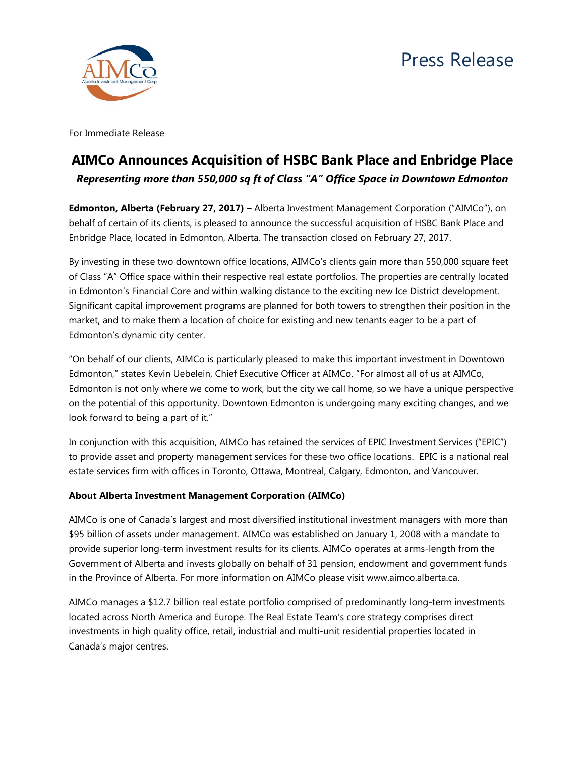



For Immediate Release

# **AIMCo Announces Acquisition of HSBC Bank Place and Enbridge Place** *Representing more than 550,000 sq ft of Class "A" Office Space in Downtown Edmonton*

**Edmonton, Alberta (February 27, 2017) –** Alberta Investment Management Corporation ("AIMCo"), on behalf of certain of its clients, is pleased to announce the successful acquisition of HSBC Bank Place and Enbridge Place, located in Edmonton, Alberta. The transaction closed on February 27, 2017.

By investing in these two downtown office locations, AIMCo's clients gain more than 550,000 square feet of Class "A" Office space within their respective real estate portfolios. The properties are centrally located in Edmonton's Financial Core and within walking distance to the exciting new Ice District development. Significant capital improvement programs are planned for both towers to strengthen their position in the market, and to make them a location of choice for existing and new tenants eager to be a part of Edmonton's dynamic city center.

"On behalf of our clients, AIMCo is particularly pleased to make this important investment in Downtown Edmonton," states Kevin Uebelein, Chief Executive Officer at AIMCo. "For almost all of us at AIMCo, Edmonton is not only where we come to work, but the city we call home, so we have a unique perspective on the potential of this opportunity. Downtown Edmonton is undergoing many exciting changes, and we look forward to being a part of it."

In conjunction with this acquisition, AIMCo has retained the services of EPIC Investment Services ("EPIC") to provide asset and property management services for these two office locations. EPIC is a national real estate services firm with offices in Toronto, Ottawa, Montreal, Calgary, Edmonton, and Vancouver.

## **About Alberta Investment Management Corporation (AIMCo)**

AIMCo is one of Canada's largest and most diversified institutional investment managers with more than \$95 billion of assets under management. AIMCo was established on January 1, 2008 with a mandate to provide superior long-term investment results for its clients. AIMCo operates at arms-length from the Government of Alberta and invests globally on behalf of 31 pension, endowment and government funds in the Province of Alberta. For more information on AIMCo please visit www.aimco.alberta.ca.

AIMCo manages a \$12.7 billion real estate portfolio comprised of predominantly long-term investments located across North America and Europe. The Real Estate Team's core strategy comprises direct investments in high quality office, retail, industrial and multi-unit residential properties located in Canada's major centres.